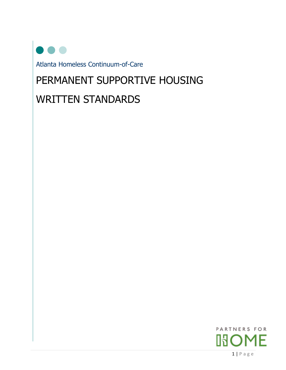Atlanta Homeless Continuum-of-Care

# PERMANENT SUPPORTIVE HOUSING

# WRITTEN STANDARDS

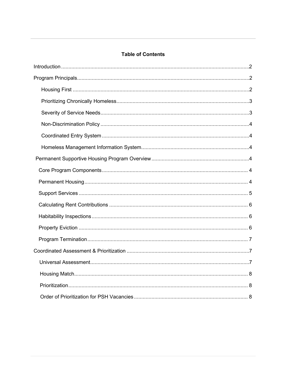# **Table of Contents**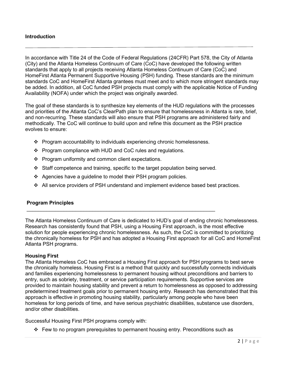#### <span id="page-2-0"></span>**Introduction**

In accordance with Title 24 of the Code of Federal Regulations (24CFR) Part 578, the City of Atlanta (City) and the Atlanta Homeless Continuum of Care (CoC) have developed the following written standards that apply to all projects receiving Atlanta Homeless Continuum of Care (CoC) and HomeFirst Atlanta Permanent Supportive Housing (PSH) funding. These standards are the minimum standards CoC and HomeFirst Atlanta grantees must meet and to which more stringent standards may be added. In addition, all CoC funded PSH projects must comply with the applicable Notice of Funding Availability (NOFA) under which the project was originally awarded.

The goal of these standards is to synthesize key elements of the HUD regulations with the processes and priorities of the Atlanta CoC's ClearPath plan to ensure that homelessness in Atlanta is rare, brief, and non-recurring. These standards will also ensure that PSH programs are administered fairly and methodically. The CoC will continue to build upon and refine this document as the PSH practice evolves to ensure:

- $\div$  Program accountability to individuals experiencing chronic homelessness.
- ❖ Program compliance with HUD and CoC rules and regulations.
- ❖ Program uniformity and common client expectations.
- Staff competence and training, specific to the target population being served.

 $\_$  , and the set of the set of the set of the set of the set of the set of the set of the set of the set of the set of the set of the set of the set of the set of the set of the set of the set of the set of the set of th

- $\div$  Agencies have a guideline to model their PSH program policies.
- All service providers of PSH understand and implement evidence based best practices.

#### **Program Principles**

The Atlanta Homeless Continuum of Care is dedicated to HUD's goal of ending chronic homelessness. Research has consistently found that PSH, using a Housing First approach, is the most effective solution for people experiencing chronic homelessness. As such, the CoC is committed to prioritizing the chronically homeless for PSH and has adopted a Housing First approach for all CoC and HomeFirst Atlanta PSH programs.

#### **Housing First**

The Atlanta Homeless CoC has embraced a Housing First approach for PSH programs to best serve the chronically homeless. Housing First is a method that quickly and successfully connects individuals and families experiencing homelessness to permanent housing without preconditions and barriers to entry, such as sobriety, treatment, or service participation requirements. Supportive services are provided to maintain housing stability and prevent a return to homelessness as opposed to addressing predetermined treatment goals prior to permanent housing entry. Research has demonstrated that this approach is effective in promoting housing stability, particularly among people who have been homeless for long periods of time, and have serious psychiatric disabilities, substance use disorders, and/or other disabilities.

Successful Housing First PSH programs comply with:

 $\div$  Few to no program prerequisites to permanent housing entry. Preconditions such as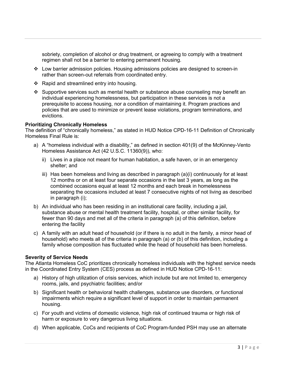sobriety, completion of alcohol or drug treatment, or agreeing to comply with a treatment regimen shall not be a barrier to entering permanent housing.

- Low barrier admission policies. Housing admissions policies are designed to screen-in rather than screen-out referrals from coordinated entry.
- $\div$  Rapid and streamlined entry into housing.
- $\cdot$  Supportive services such as mental health or substance abuse counseling may benefit an individual experiencing homelessness, but participation in these services is not a prerequisite to access housing, nor a condition of maintaining it. Program practices and policies that are used to minimize or prevent lease violations, program terminations, and evictions.

#### **Prioritizing Chronically Homeless**

The definition of "chronically homeless," as stated in HUD Notice CPD-16-11 Definition of Chronically Homeless Final Rule is:

- a) A "homeless individual with a disability," as defined in section 401(9) of the McKinney-Vento Homeless Assistance Act (42 U.S.C. 11360(9)), who:
	- ii) Lives in a place not meant for human habitation, a safe haven, or in an emergency shelter; and
	- iii) Has been homeless and living as described in paragraph (a)(i) continuously for at least 12 months or on at least four separate occasions in the last 3 years, as long as the combined occasions equal at least 12 months and each break in homelessness separating the occasions included at least 7 consecutive nights of not living as described in paragraph (i);
- b) An individual who has been residing in an institutional care facility, including a jail, substance abuse or mental health treatment facility, hospital, or other similar facility, for fewer than 90 days and met all of the criteria in paragraph (a) of this definition, before entering the facility
- c) A family with an adult head of household (or if there is no adult in the family, a minor head of household) who meets all of the criteria in paragraph (a) or (b) of this definition, including a family whose composition has fluctuated while the head of household has been homeless.

#### **Severity of Service Needs**

The Atlanta Homeless CoC prioritizes chronically homeless individuals with the highest service needs in the Coordinated Entry System (CES) process as defined in HUD Notice CPD-16-11:

- a) History of high utilization of crisis services, which include but are not limited to, emergency rooms, jails, and psychiatric facilities; and/or
- b) Significant health or behavioral health challenges, substance use disorders, or functional impairments which require a significant level of support in order to maintain permanent housing.
- c) For youth and victims of domestic violence, high risk of continued trauma or high risk of harm or exposure to very dangerous living situations.
- d) When applicable, CoCs and recipients of CoC Program-funded PSH may use an alternate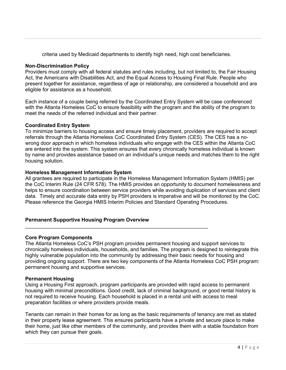criteria used by Medicaid departments to identify high need, high cost beneficiaries.

## **Non-Discrimination Policy**

Providers must comply with all federal statutes and rules including, but not limited to, the Fair Housing Act, the Americans with Disabilities Act, and the Equal Access to Housing Final Rule. People who present together for assistance, regardless of age or relationship, are considered a household and are eligible for assistance as a household.

Each instance of a couple being referred by the Coordinated Entry System will be case conferenced with the Atlanta Homeless CoC to ensure feasibility with the program and the ability of the program to meet the needs of the referred individual and their partner.

# **Coordinated Entry System**

To minimize barriers to housing access and ensure timely placement, providers are required to accept referrals through the Atlanta Homeless CoC Coordinated Entry System (CES). The CES has a nowrong door approach in which homeless individuals who engage with the CES within the Atlanta CoC are entered into the system. This system ensures that every chronically homeless individual is known by name and provides assistance based on an individual's unique needs and matches them to the right housing solution.

# **Homeless Management Information System**

All grantees are required to participate in the Homeless Management Information System (HMIS) per the CoC Interim Rule (24 CFR 578). The HMIS provides an opportunity to document homelessness and helps to ensure coordination between service providers while avoiding duplication of services and client data. Timely and accurate data entry by PSH providers is imperative and will be monitored by the CoC. Please reference the Georgia HMIS Interim Policies and Standard Operating Procedures.

# **Permanent Supportive Housing Program Overview**

 $\mathcal{L}_\text{max}$  , and the contribution of the contribution of the contribution of the contribution of the contribution of the contribution of the contribution of the contribution of the contribution of the contribution of t

# **Core Program Components**

The Atlanta Homeless CoC's PSH program provides permanent housing and support services to chronically homeless individuals, households, and families. The program is designed to reintegrate this highly vulnerable population into the community by addressing their basic needs for housing and providing ongoing support. There are two key components of the Atlanta Homeless CoC PSH program: permanent housing and supportive services.

## **Permanent Housing**

Using a Housing First approach, program participants are provided with rapid access to permanent housing with minimal preconditions. Good credit, lack of criminal background, or good rental history is not required to receive housing. Each household is placed in a rental unit with access to meal preparation facilities or where providers provide meals.

Tenants can remain in their homes for as long as the basic requirements of tenancy are met as stated in their property lease agreement. This ensures participants have a private and secure place to make their home, just like other members of the community, and provides them with a stable foundation from which they can pursue their goals.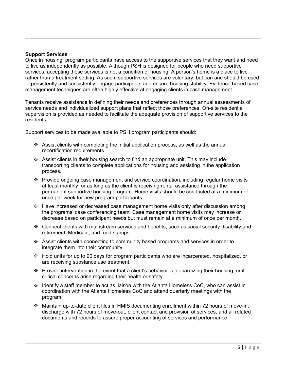#### **Support Services**

Once in housing, program participants have access to the supportive services that they want and need to live as independently as possible. Although PSH is designed for people who need supportive services, accepting these services is not a condition of housing. A person's home is a place to live rather than a treatment setting. As such, supportive services are voluntary, but can and should be used to persistently and consistently engage participants and ensure housing stability. Evidence based case management techniques are often highly effective at engaging clients in case management.

Tenants receive assistance in defining their needs and preferences through annual assessments of service needs and individualized support plans that reflect those preferences. On-site residential supervision is provided as needed to facilitate the adequate provision of supportive services to the residents.

Support services to be made available to PSH program participants should:

- Assist clients with completing the initial application process, as well as the annual recertification requirements.
- Assist clients in their housing search to find an appropriate unit. This may include transporting clients to complete applications for housing and assisting in the application process.
- \* Provide ongoing case management and service coordination, including regular home visits at least monthly for as long as the client is receiving rental assistance through the permanent supportive housing program. Home visits should be conducted at a minimum of once per week for new program participants.
- $\div$  Have increased or decreased case management home visits only after discussion among the programs' case conferencing team. Case management home visits may increase or decrease based on participant needs but must remain at a minimum of once per month.
- Connect clients with mainstream services and benefits, such as social security disability and retirement, Medicaid, and food stamps.
- $\div$  Assist clients with connecting to community based programs and services in order to integrate them into their community.
- $\div$  Hold units for up to 90 days for program participants who are incarcerated, hospitalized, or are receiving substance use treatment.
- $\cdot \cdot$  Provide intervention in the event that a client's behavior is jeopardizing their housing, or if critical concerns arise regarding their health or safety.
- $\div$  Identify a staff member to act as liaison with the Atlanta Homeless CoC, who can assist in coordination with the Atlanta Homeless CoC and attend quarterly meetings with the program.
- Maintain up-to-date client files in HMIS documenting enrollment within 72 hours of move-in, discharge with 72 hours of move-out, client contact and provision of services, and all related documents and records to assure proper accounting of services and performance.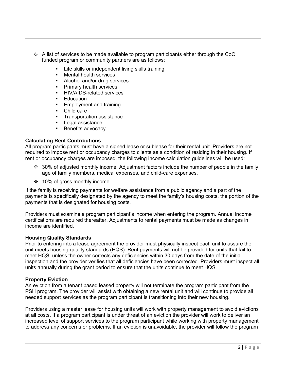- $\div$  A list of services to be made available to program participants either through the CoC funded program or community partners are as follows:
	- Life skills or independent living skills training
	- **Nental health services**
	- Alcohol and/or drug services
	- Primary health services
	- HIV/AIDS-related services
	- **Education**
	- **Employment and training**
	- Child care
	- **Transportation assistance**
	- **Legal assistance**
	- Benefits advocacy

#### **Calculating Rent Contributions**

All program participants must have a signed lease or sublease for their rental unit. Providers are not required to impose rent or occupancy charges to clients as a condition of residing in their housing. If rent or occupancy charges are imposed, the following income calculation guidelines will be used:

- ◆ 30% of adjusted monthly income. Adjustment factors include the number of people in the family, age of family members, medical expenses, and child-care expenses.
- ❖ 10% of gross monthly income.

If the family is receiving payments for welfare assistance from a public agency and a part of the payments is specifically designated by the agency to meet the family's housing costs, the portion of the payments that is designated for housing costs.

Providers must examine a program participant's income when entering the program. Annual income certifications are required thereafter. Adjustments to rental payments must be made as changes in income are identified.

#### **Housing Quality Standards**

Prior to entering into a lease agreement the provider must physically inspect each unit to assure the unit meets housing quality standards (HQS). Rent payments will not be provided for units that fail to meet HQS, unless the owner corrects any deficiencies within 30 days from the date of the initial inspection and the provider verifies that all deficiencies have been corrected. Providers must inspect all units annually during the grant period to ensure that the units continue to meet HQS.

#### **Property Eviction**

An eviction from a tenant based leased property will not terminate the program participant from the PSH program. The provider will assist with obtaining a new rental unit and will continue to provide all needed support services as the program participant is transitioning into their new housing.

Providers using a master lease for housing units will work with property management to avoid evictions at all costs. If a program participant is under threat of an eviction the provider will work to deliver an increased level of support services to the program participant while working with property management to address any concerns or problems. If an eviction is unavoidable, the provider will follow the program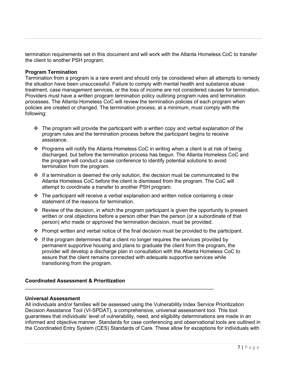termination requirements set in this document and will work with the Atlanta Homeless CoC to transfer the client to another PSH program.

## **Program Termination**

Termination from a program is a rare event and should only be considered when all attempts to remedy the situation have been unsuccessful. Failure to comply with mental health and substance abuse treatment, case management services, or the loss of income are not considered causes for termination. Providers must have a written program termination policy outlining program rules and termination processes. The Atlanta Homeless CoC will review the termination policies of each program when policies are created or changed. The termination process, at a minimum, must comply with the following:

- $\cdot \cdot$  The program will provide the participant with a written copy and verbal explanation of the program rules and the termination process before the participant begins to receive assistance.
- $\div$  Programs will notify the Atlanta Homeless CoC in writing when a client is at risk of being discharged, but before the termination process has begun. The Atlanta Homeless CoC and the program will conduct a case conference to identify potential solutions to avoid termination from the program.
- $\cdot \cdot$  If a termination is deemed the only solution, the decision must be communicated to the Atlanta Homeless CoC before the client is dismissed from the program. The CoC will attempt to coordinate a transfer to another PSH program.
- $\cdot \cdot$  The participant will receive a verbal explanation and written notice containing a clear statement of the reasons for termination.
- $\cdot \cdot$  Review of the decision, in which the program participant is given the opportunity to present written or oral objections before a person other than the person (or a subordinate of that person) who made or approved the termination decision, must be provided.
- Prompt written and verbal notice of the final decision must be provided to the participant.
- $\cdot \cdot$  If the program determines that a client no longer requires the services provided by permanent supportive housing and plans to graduate the client from the program, the provider will develop a discharge plan in consultation with the Atlanta Homeless CoC to assure that the client remains connected with adequate supportive services while transitioning from the program.

\_\_\_\_\_\_\_\_\_\_\_\_\_\_\_\_\_\_\_\_\_\_\_\_\_\_\_\_\_\_\_\_\_\_\_\_\_\_\_\_\_\_\_\_\_\_\_\_\_\_\_\_\_\_\_\_\_\_\_\_\_\_\_\_\_\_

## **Coordinated Assessment & Prioritization**

#### **Universal Assessment**

All individuals and/or families will be assessed using the Vulnerability Index Service Prioritization Decision Assistance Tool (VI-SPDAT), a comprehensive, universal assessment tool. This tool guarantees that individuals' level of vulnerability, need, and eligibility determinations are made in an informed and objective manner. Standards for case conferencing and observational tools are outlined in the Coordinated Entry System (CES) Standards of Care. These allow for exceptions for individuals with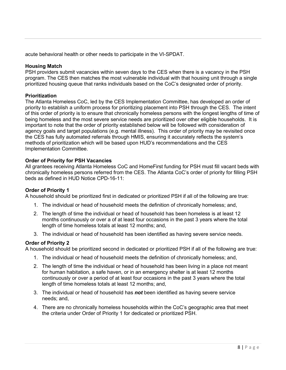acute behavioral health or other needs to participate in the VI-SPDAT.

# **Housing Match**

PSH providers submit vacancies within seven days to the CES when there is a vacancy in the PSH program. The CES then matches the most vulnerable individual with that housing unit through a single prioritized housing queue that ranks individuals based on the CoC's designated order of priority.

# **Prioritization**

The Atlanta Homeless CoC, led by the CES Implementation Committee, has developed an order of priority to establish a uniform process for prioritizing placement into PSH through the CES. The intent of this order of priority is to ensure that chronically homeless persons with the longest lengths of time of being homeless and the most severe service needs are prioritized over other eligible households. It is important to note that the order of priority established below will be followed with consideration of agency goals and target populations (e.g. mental illness). This order of priority may be revisited once the CES has fully automated referrals through HMIS, ensuring it accurately reflects the system's methods of prioritization which will be based upon HUD's recommendations and the CES Implementation Committee.

# **Order of Priority for PSH Vacancies**

All grantees receiving Atlanta Homeless CoC and HomeFirst funding for PSH must fill vacant beds with chronically homeless persons referred from the CES. The Atlanta CoC's order of priority for filling PSH beds as defined in HUD Notice CPD-16-11:

# **Order of Priority 1**

A household should be prioritized first in dedicated or prioritized PSH if all of the following are true:

- 1. The individual or head of household meets the definition of chronically homeless; and,
- 2. The length of time the individual or head of household has been homeless is at least 12 months continuously or over a of at least four occasions in the past 3 years where the total length of time homeless totals at least 12 months; and,
- 3. The individual or head of household has been identified as having severe service needs.

## **Order of Priority 2**

A household should be prioritized second in dedicated or prioritized PSH if all of the following are true:

- 1. The individual or head of household meets the definition of chronically homeless; and,
- 2. The length of time the individual or head of household has been living in a place not meant for human habitation, a safe haven, or in an emergency shelter is at least 12 months continuously or over a period of at least four occasions in the past 3 years where the total length of time homeless totals at least 12 months; and,
- 3. The individual or head of household has *not* been identified as having severe service needs; and,
- 4. There are no chronically homeless households within the CoC's geographic area that meet the criteria under Order of Priority 1 for dedicated or prioritized PSH.